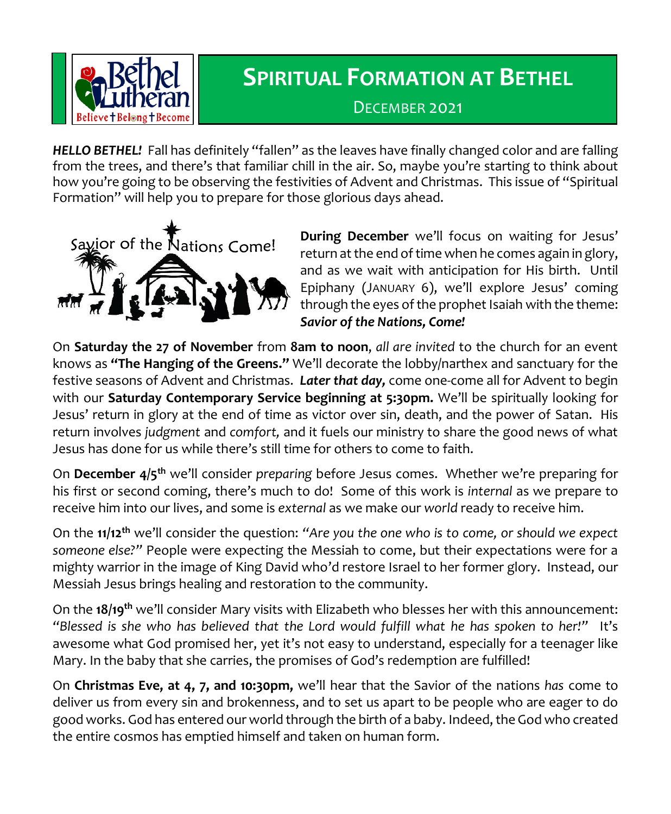

## **SPIRITUAL FORMATION AT BETHEL**

DECEMBER 2021

*HELLO BETHEL!* Fall has definitely "fallen" as the leaves have finally changed color and are falling from the trees, and there's that familiar chill in the air. So, maybe you're starting to think about how you're going to be observing the festivities of Advent and Christmas. This issue of "Spiritual Formation" will help you to prepare for those glorious days ahead.



**During December** we'll focus on waiting for Jesus' return at the end of time when he comes again in glory, and as we wait with anticipation for His birth. Until Epiphany (JANUARY 6), we'll explore Jesus' coming through the eyes of the prophet Isaiah with the theme: *Savior of the Nations, Come!*

On **Saturday the 27 of November** from **8am to noon**, *all are invited* to the church for an event knows as **"The Hanging of the Greens."** We'll decorate the lobby/narthex and sanctuary for the festive seasons of Advent and Christmas. *Later that day,* come one-come all for Advent to begin with our **Saturday Contemporary Service beginning at 5:30pm.** We'll be spiritually looking for Jesus' return in glory at the end of time as victor over sin, death, and the power of Satan. His return involves *judgment* and *comfort,* and it fuels our ministry to share the good news of what Jesus has done for us while there's still time for others to come to faith.

On **December 4/5th** we'll consider *preparing* before Jesus comes. Whether we're preparing for his first or second coming, there's much to do! Some of this work is *internal* as we prepare to receive him into our lives, and some is *external* as we make our *world* ready to receive him.

On the **11/12th** we'll consider the question: *"Are you the one who is to come, or should we expect someone else?"* People were expecting the Messiah to come, but their expectations were for a mighty warrior in the image of King David who'd restore Israel to her former glory. Instead, our Messiah Jesus brings healing and restoration to the community.

On the **18/19th** we'll consider Mary visits with Elizabeth who blesses her with this announcement: *"Blessed is she who has believed that the Lord would fulfill what he has spoken to her!"* It's awesome what God promised her, yet it's not easy to understand, especially for a teenager like Mary. In the baby that she carries, the promises of God's redemption are fulfilled!

On **Christmas Eve, at 4, 7, and 10:30pm,** we'll hear that the Savior of the nations *has* come to deliver us from every sin and brokenness, and to set us apart to be people who are eager to do good works. God has entered our world through the birth of a baby. Indeed, the God who created the entire cosmos has emptied himself and taken on human form.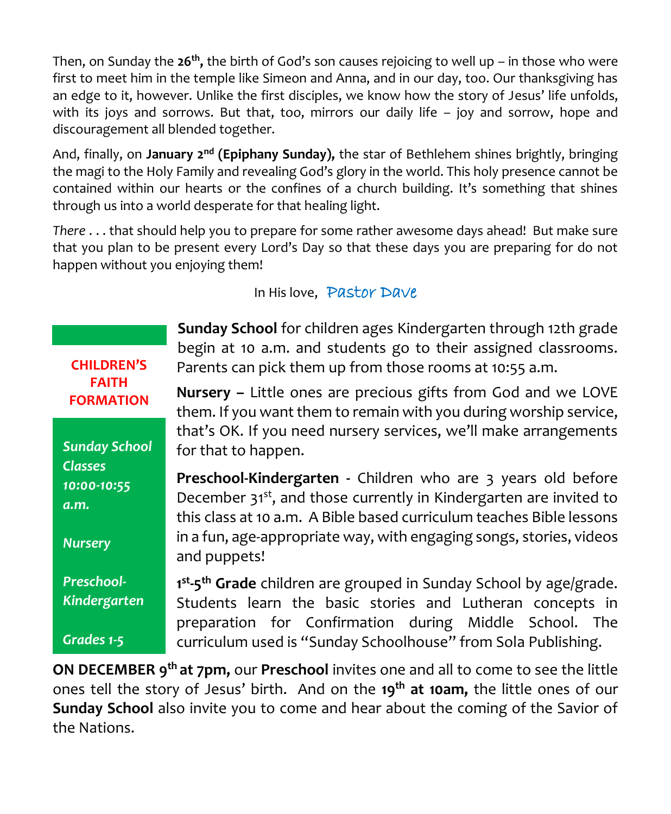Then, on Sunday the **26th ,** the birth of God's son causes rejoicing to well up – in those who were first to meet him in the temple like Simeon and Anna, and in our day, too. Our thanksgiving has an edge to it, however. Unlike the first disciples, we know how the story of Jesus' life unfolds, with its joys and sorrows. But that, too, mirrors our daily life – joy and sorrow, hope and discouragement all blended together.

And, finally, on **January 2<sup>nd</sup> (Epiphany Sunday)**, the star of Bethlehem shines brightly, bringing the magi to the Holy Family and revealing God's glory in the world. This holy presence cannot be contained within our hearts or the confines of a church building. It's something that shines through us into a world desperate for that healing light.

*There* . . . that should help you to prepare for some rather awesome days ahead! But make sure that you plan to be present every Lord's Day so that these days you are preparing for do not happen without you enjoying them!

**CHILDREN'S FAITH FORMATION**

*Sunday School Classes 10:00-10:55 a.m. Nursery Preschool-*

*Kindergarten*

*Grades 1-5*

In His love, Pastor Dave

**Sunday School** for children ages Kindergarten through 12th grade begin at 10 a.m. and students go to their assigned classrooms. Parents can pick them up from those rooms at 10:55 a.m.

**Nursery –** Little ones are precious gifts from God and we LOVE them. If you want them to remain with you during worship service, that's OK. If you need nursery services, we'll make arrangements for that to happen.

**Preschool-Kindergarten -** Children who are 3 years old before December 31<sup>st</sup>, and those currently in Kindergarten are invited to this class at 10 a.m. A Bible based curriculum teaches Bible lessons in a fun, age-appropriate way, with engaging songs, stories, videos and puppets!

**1 st -5 th Grade** children are grouped in Sunday School by age/grade. Students learn the basic stories and Lutheran concepts in preparation for Confirmation during Middle School. The curriculum used is "Sunday Schoolhouse" from Sola Publishing.

**ON DECEMBER 9th at 7pm,** our **Preschool** invites one and all to come to see the little ones tell the story of Jesus' birth. And on the **19th at 10am,** the little ones of our **Sunday School** also invite you to come and hear about the coming of the Savior of the Nations.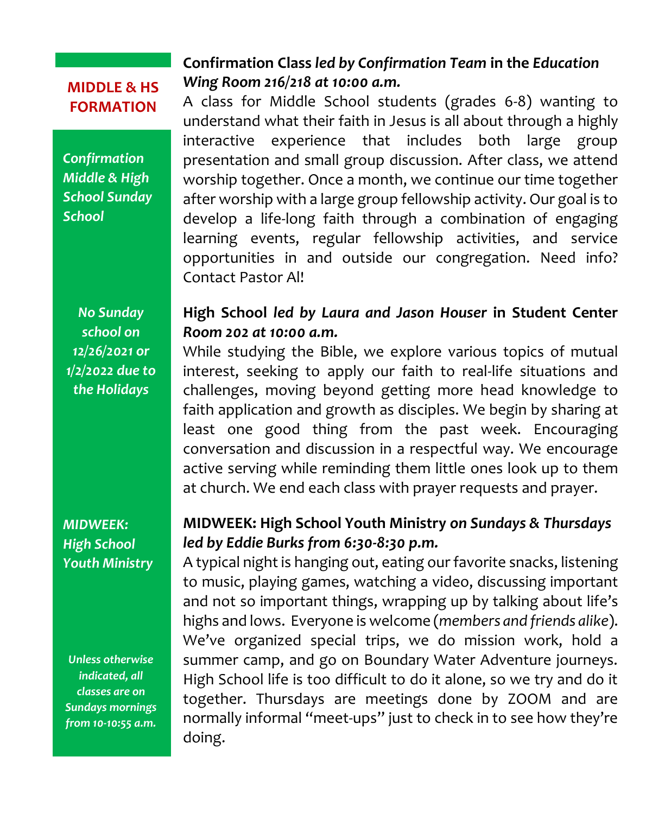## **MIDDLE & HS FORMATION**

*Confirmation Middle & High School Sunday School*

*No Sunday school on 12/26/2021 or 1/2/2022 due to the Holidays*

## *MIDWEEK: High School Youth Ministry*

*Unless otherwise indicated, all classes are on Sundays mornings from 10-10:55 a.m.*

## **Confirmation Class** *led by Confirmation Team* **in the** *Education Wing Room 216/218 at 10:00 a.m.*

A class for Middle School students (grades 6-8) wanting to understand what their faith in Jesus is all about through a highly interactive experience that includes both large group presentation and small group discussion. After class, we attend worship together. Once a month, we continue our time together after worship with a large group fellowship activity. Our goal is to develop a life-long faith through a combination of engaging learning events, regular fellowship activities, and service opportunities in and outside our congregation. Need info? Contact Pastor Al!

## **High School** *led by Laura and Jason Houser* **in Student Center**  *Room 202 at 10:00 a.m.*

While studying the Bible, we explore various topics of mutual interest, seeking to apply our faith to real-life situations and challenges, moving beyond getting more head knowledge to faith application and growth as disciples. We begin by sharing at least one good thing from the past week. Encouraging conversation and discussion in a respectful way. We encourage active serving while reminding them little ones look up to them at church. We end each class with prayer requests and prayer.

## **MIDWEEK: High School Youth Ministry** *on Sundays & Thursdays led by Eddie Burks from 6:30-8:30 p.m.*

A typical night is hanging out, eating our favorite snacks, listening to music, playing games, watching a video, discussing important and not so important things, wrapping up by talking about life's highs and lows. Everyone is welcome (*members and friends alike*). We've organized special trips, we do mission work, hold a summer camp, and go on Boundary Water Adventure journeys. High School life is too difficult to do it alone, so we try and do it together. Thursdays are meetings done by ZOOM and are normally informal "meet-ups" just to check in to see how they're doing.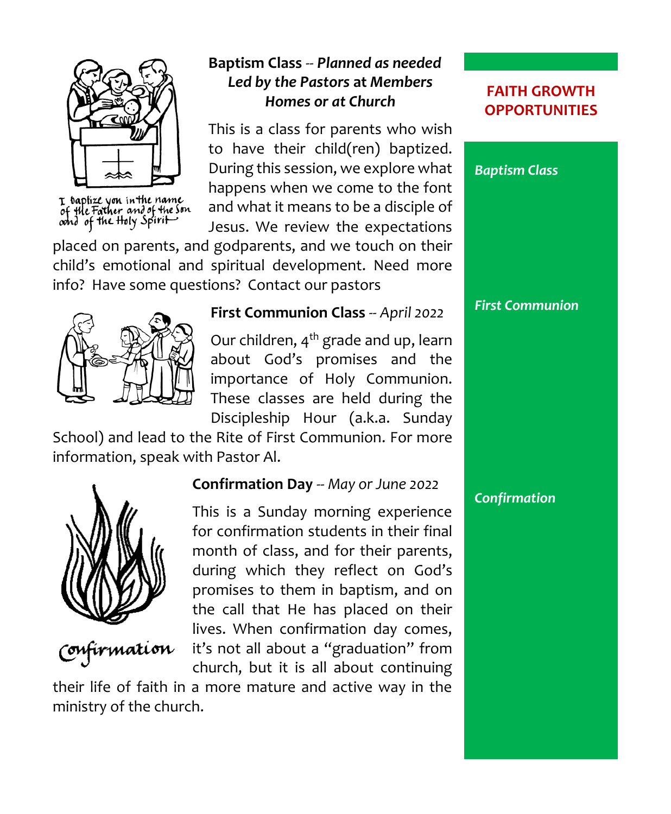

I baptize you in the name<br>of the Father and of the Son<br>oond of the Holy Spirit

## **Baptism Class** -- *Planned as needed Led by the Pastors* **at** *Members Homes or at Church*

This is a class for parents who wish to have their child(ren) baptized. During this session, we explore what happens when we come to the font and what it means to be a disciple of Jesus. We review the expectations

placed on parents, and godparents, and we touch on their child's emotional and spiritual development. Need more info? Have some questions? Contact our pastors



#### **First Communion Class** *-- April 2022*

Our children, 4<sup>th</sup> grade and up, learn about God's promises and the importance of Holy Communion. These classes are held during the Discipleship Hour (a.k.a. Sunday

School) and lead to the Rite of First Communion. For more information, speak with Pastor Al.



# mation

## **Confirmation Day** -- *May or June 2022*

This is a Sunday morning experience for confirmation students in their final month of class, and for their parents, during which they reflect on God's promises to them in baptism, and on the call that He has placed on their lives. When confirmation day comes, it's not all about a "graduation" from church, but it is all about continuing

their life of faith in a more mature and active way in the ministry of the church.

#### **FAITH GROWTH OPPORTUNITIES**



## *Confirmation*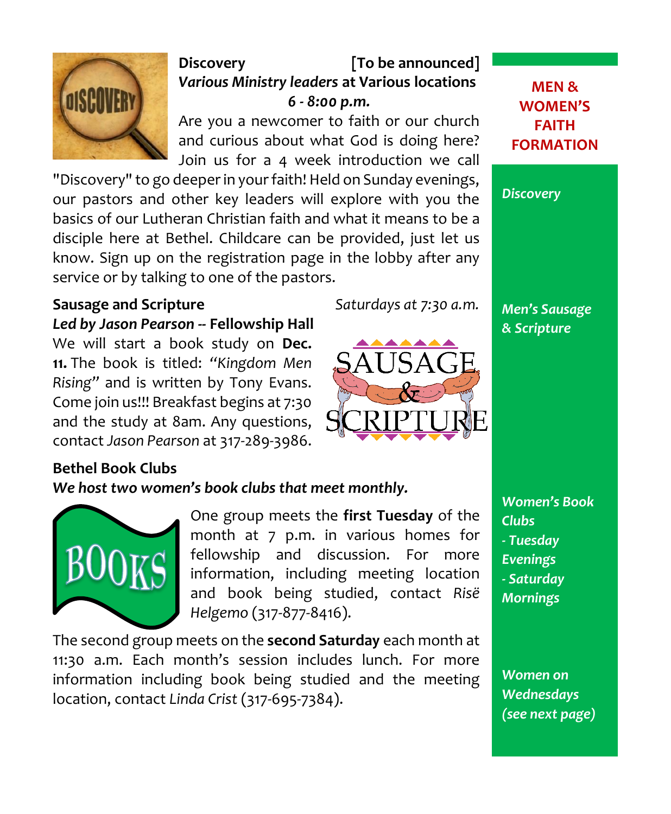

## **Discovery [To be announced]** *Various Ministry leaders* **at Various locations** *6 - 8:00 p.m.*

Are you a newcomer to faith or our church and curious about what God is doing here? Join us for a 4 week introduction we call

"Discovery" to go deeper in your faith! Held on Sunday evenings, our pastors and other key leaders will explore with you the basics of our Lutheran Christian faith and what it means to be a disciple here at Bethel. Childcare can be provided, just let us know. Sign up on the registration page in the lobby after any service or by talking to one of the pastors.

## **Sausage and Scripture** *Saturdays at 7:30 a.m.*

*Led by Jason Pearson* **-- Fellowship Hall** We will start a book study on **Dec. 11.** The book is titled: *"Kingdom Men Rising"* and is written by Tony Evans. Come join us!!! Breakfast begins at 7:30 and the study at 8am. Any questions, contact *Jason Pearson* at 317-289-3986.

## **Bethel Book Clubs**

#### *We host two women's book clubs that meet monthly.*



One group meets the **first Tuesday** of the month at 7 p.m. in various homes for fellowship and discussion. For more information, including meeting location and book being studied, contact *Risë Helgemo* (317-877-8416).

The second group meets on the **second Saturday** each month at 11:30 a.m. Each month's session includes lunch. For more information including book being studied and the meeting location, contact *Linda Crist* (317-695-7384).





*Women on Wednesdays (see next page)*

**MEN & WOMEN'S FAITH FORMATION**

*Discovery*

*Men's Sausage & Scripture*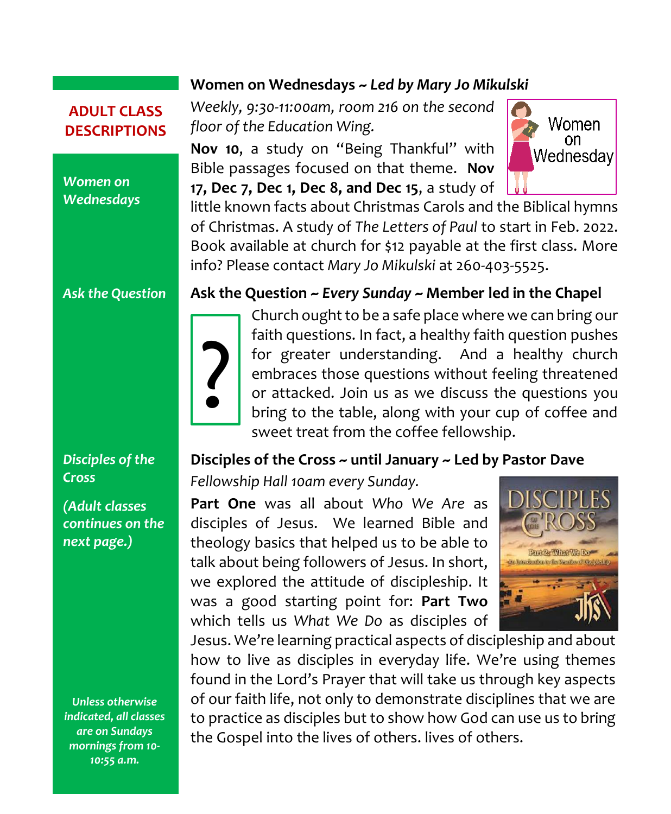## **ADULT CLASS DESCRIPTIONS**

#### *Women on Wednesdays*

*Ask the Question*

## *Disciples of the Cross*

*(Adult classes continues on the next page.)*

*Unless otherwise indicated, all classes are on Sundays mornings from 10- 10:55 a.m.*

#### **Women on Wednesdays ~** *Led by Mary Jo Mikulski*

*Weekly, 9:30-11:00am, room 216 on the second floor of the Education Wing.*

**Nov 10**, a study on "Being Thankful" with Bible passages focused on that theme. **Nov 17, Dec 7, Dec 1, Dec 8, and Dec 15**, a study of

little known facts about Christmas Carols and the Biblical hymns of Christmas. A study of *The Letters of Paul* to start in Feb. 2022. Book available at church for \$12 payable at the first class. More info? Please contact *Mary Jo Mikulski* at 260-403-5525.

#### **Ask the Question ~** *Every Sunday* **~ Member led in the Chapel**



Church ought to be a safe place where we can bring our faith questions. In fact, a healthy faith question pushes for greater understanding. And a healthy church embraces those questions without feeling threatened or attacked. Join us as we discuss the questions you bring to the table, along with your cup of coffee and sweet treat from the coffee fellowship.

#### **Disciples of the Cross ~ until January ~ Led by Pastor Dave**

*Fellowship Hall 10am every Sunday.*

**Part One** was all about *Who We Are* as disciples of Jesus. We learned Bible and theology basics that helped us to be able to talk about being followers of Jesus. In short, we explored the attitude of discipleship. It was a good starting point for: **Part Two**  which tells us *What We Do* as disciples of



Women on. Wednesday

Jesus. We're learning practical aspects of discipleship and about how to live as disciples in everyday life. We're using themes found in the Lord's Prayer that will take us through key aspects of our faith life, not only to demonstrate disciplines that we are to practice as disciples but to show how God can use us to bring the Gospel into the lives of others. lives of others.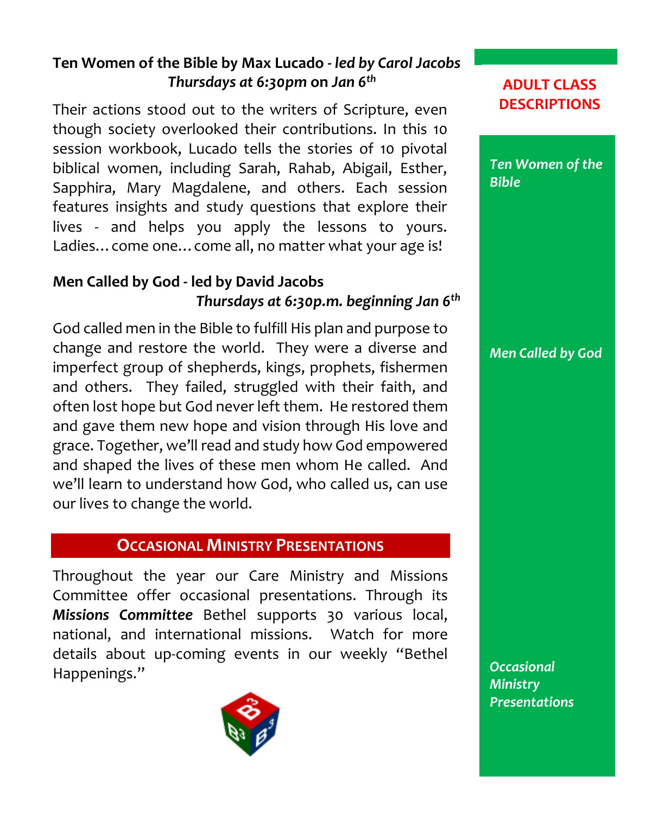## **Ten Women of the Bible by Max Lucado -** *led by Carol Jacobs Thursdays at 6:30pm* **on** *Jan 6 th*

Their actions stood out to the writers of Scripture, even though society overlooked their contributions. In this 10 session workbook, Lucado tells the stories of 10 pivotal biblical women, including Sarah, Rahab, Abigail, Esther, Sapphira, Mary Magdalene, and others. Each session features insights and study questions that explore their lives - and helps you apply the lessons to yours. Ladies…come one…come all, no matter what your age is!

## **Men Called by God - led by David Jacobs**  *Thursdays at 6:30p.m. beginning Jan 6th*

God called men in the Bible to fulfill His plan and purpose to change and restore the world. They were a diverse and imperfect group of shepherds, kings, prophets, fishermen and others. They failed, struggled with their faith, and often lost hope but God never left them. He restored them and gave them new hope and vision through His love and grace. Together, we'll read and study how God empowered and shaped the lives of these men whom He called. And we'll learn to understand how God, who called us, can use our lives to change the world.

## **OCCASIONAL MINISTRY PRESENTATIONS**

Throughout the year our Care Ministry and Missions Committee offer occasional presentations. Through its *Missions Committee* Bethel supports 30 various local, national, and international missions. Watch for more details about up-coming events in our weekly "Bethel Happenings."



**ADULT CLASS DESCRIPTIONS**



*Men Called by God*

*Occasional Ministry Presentations*